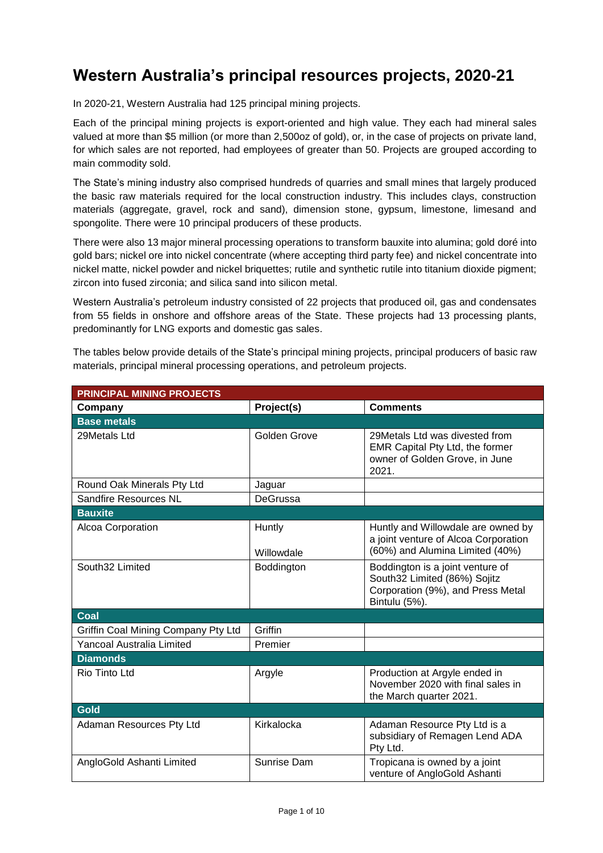## **Western Australia's principal resources projects, 2020-21**

In 2020-21, Western Australia had 125 principal mining projects.

Each of the principal mining projects is export-oriented and high value. They each had mineral sales valued at more than \$5 million (or more than 2,500oz of gold), or, in the case of projects on private land, for which sales are not reported, had employees of greater than 50. Projects are grouped according to main commodity sold.

The State's mining industry also comprised hundreds of quarries and small mines that largely produced the basic raw materials required for the local construction industry. This includes clays, construction materials (aggregate, gravel, rock and sand), dimension stone, gypsum, limestone, limesand and spongolite. There were 10 principal producers of these products.

There were also 13 major mineral processing operations to transform bauxite into alumina; gold doré into gold bars; nickel ore into nickel concentrate (where accepting third party fee) and nickel concentrate into nickel matte, nickel powder and nickel briquettes; rutile and synthetic rutile into titanium dioxide pigment; zircon into fused zirconia; and silica sand into silicon metal.

Western Australia's petroleum industry consisted of 22 projects that produced oil, gas and condensates from 55 fields in onshore and offshore areas of the State. These projects had 13 processing plants, predominantly for LNG exports and domestic gas sales.

The tables below provide details of the State's principal mining projects, principal producers of basic raw materials, principal mineral processing operations, and petroleum projects.

| <b>PRINCIPAL MINING PROJECTS</b>    |                      |                                                                                                                        |  |  |  |  |
|-------------------------------------|----------------------|------------------------------------------------------------------------------------------------------------------------|--|--|--|--|
| Company                             | Project(s)           | <b>Comments</b>                                                                                                        |  |  |  |  |
| <b>Base metals</b>                  |                      |                                                                                                                        |  |  |  |  |
| 29Metals Ltd                        | Golden Grove         | 29 Metals Ltd was divested from<br>EMR Capital Pty Ltd, the former<br>owner of Golden Grove, in June<br>2021.          |  |  |  |  |
| Round Oak Minerals Pty Ltd          | Jaguar               |                                                                                                                        |  |  |  |  |
| Sandfire Resources NL               | DeGrussa             |                                                                                                                        |  |  |  |  |
| <b>Bauxite</b>                      |                      |                                                                                                                        |  |  |  |  |
| Alcoa Corporation                   | Huntly<br>Willowdale | Huntly and Willowdale are owned by<br>a joint venture of Alcoa Corporation<br>(60%) and Alumina Limited (40%)          |  |  |  |  |
| South32 Limited                     | Boddington           | Boddington is a joint venture of<br>South32 Limited (86%) Sojitz<br>Corporation (9%), and Press Metal<br>Bintulu (5%). |  |  |  |  |
| Coal                                |                      |                                                                                                                        |  |  |  |  |
| Griffin Coal Mining Company Pty Ltd | Griffin              |                                                                                                                        |  |  |  |  |
| Yancoal Australia Limited           | Premier              |                                                                                                                        |  |  |  |  |
| <b>Diamonds</b>                     |                      |                                                                                                                        |  |  |  |  |
| Rio Tinto Ltd                       | Argyle               | Production at Argyle ended in<br>November 2020 with final sales in<br>the March quarter 2021.                          |  |  |  |  |
| <b>Gold</b>                         |                      |                                                                                                                        |  |  |  |  |
| Adaman Resources Pty Ltd            | Kirkalocka           | Adaman Resource Pty Ltd is a<br>subsidiary of Remagen Lend ADA<br>Pty Ltd.                                             |  |  |  |  |
| AngloGold Ashanti Limited           | Sunrise Dam          | Tropicana is owned by a joint<br>venture of AngloGold Ashanti                                                          |  |  |  |  |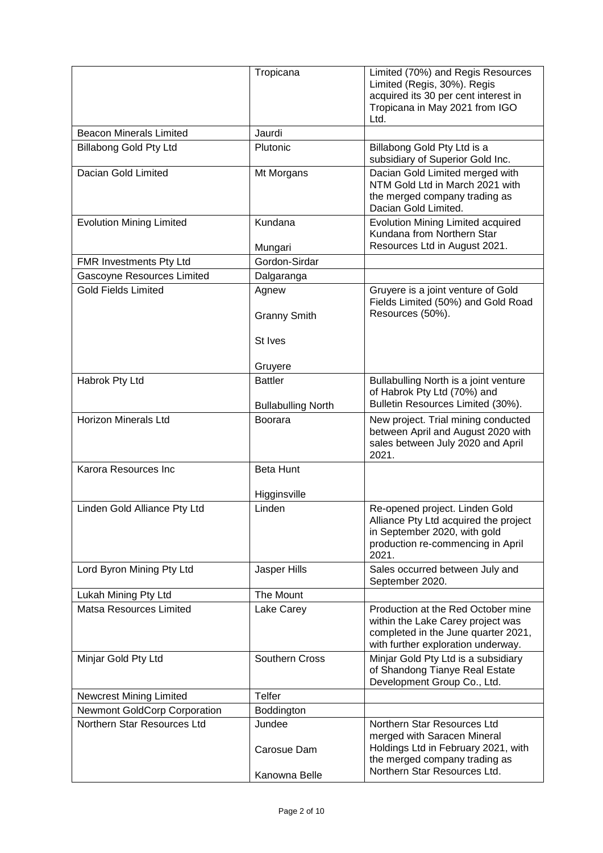|                                     | Tropicana                                   | Limited (70%) and Regis Resources<br>Limited (Regis, 30%). Regis<br>acquired its 30 per cent interest in<br>Tropicana in May 2021 from IGO            |
|-------------------------------------|---------------------------------------------|-------------------------------------------------------------------------------------------------------------------------------------------------------|
|                                     |                                             | Ltd.                                                                                                                                                  |
| <b>Beacon Minerals Limited</b>      | Jaurdi                                      |                                                                                                                                                       |
| <b>Billabong Gold Pty Ltd</b>       | Plutonic                                    | Billabong Gold Pty Ltd is a<br>subsidiary of Superior Gold Inc.                                                                                       |
| Dacian Gold Limited                 | Mt Morgans                                  | Dacian Gold Limited merged with<br>NTM Gold Ltd in March 2021 with<br>the merged company trading as<br>Dacian Gold Limited.                           |
| <b>Evolution Mining Limited</b>     | Kundana<br>Mungari                          | Evolution Mining Limited acquired<br>Kundana from Northern Star<br>Resources Ltd in August 2021.                                                      |
| FMR Investments Pty Ltd             | Gordon-Sirdar                               |                                                                                                                                                       |
| Gascoyne Resources Limited          | Dalgaranga                                  |                                                                                                                                                       |
| <b>Gold Fields Limited</b>          | Agnew<br><b>Granny Smith</b>                | Gruyere is a joint venture of Gold<br>Fields Limited (50%) and Gold Road<br>Resources (50%).                                                          |
|                                     | St Ives                                     |                                                                                                                                                       |
|                                     | Gruyere                                     |                                                                                                                                                       |
| Habrok Pty Ltd                      | <b>Battler</b><br><b>Bullabulling North</b> | Bullabulling North is a joint venture<br>of Habrok Pty Ltd (70%) and<br>Bulletin Resources Limited (30%).                                             |
| <b>Horizon Minerals Ltd</b>         | <b>Boorara</b>                              | New project. Trial mining conducted<br>between April and August 2020 with<br>sales between July 2020 and April<br>2021.                               |
| Karora Resources Inc                | <b>Beta Hunt</b>                            |                                                                                                                                                       |
|                                     | Higginsville                                |                                                                                                                                                       |
| Linden Gold Alliance Pty Ltd        | Linden                                      | Re-opened project. Linden Gold<br>Alliance Pty Ltd acquired the project<br>in September 2020, with gold<br>production re-commencing in April<br>2021. |
| Lord Byron Mining Pty Ltd           | Jasper Hills                                | Sales occurred between July and<br>September 2020.                                                                                                    |
| Lukah Mining Pty Ltd                | The Mount                                   |                                                                                                                                                       |
| Matsa Resources Limited             | Lake Carey                                  | Production at the Red October mine<br>within the Lake Carey project was<br>completed in the June quarter 2021,<br>with further exploration underway.  |
| Minjar Gold Pty Ltd                 | Southern Cross                              | Minjar Gold Pty Ltd is a subsidiary<br>of Shandong Tianye Real Estate<br>Development Group Co., Ltd.                                                  |
| <b>Newcrest Mining Limited</b>      | <b>Telfer</b>                               |                                                                                                                                                       |
| <b>Newmont GoldCorp Corporation</b> | Boddington                                  |                                                                                                                                                       |
| Northern Star Resources Ltd         | Jundee<br>Carosue Dam                       | Northern Star Resources Ltd<br>merged with Saracen Mineral<br>Holdings Ltd in February 2021, with<br>the merged company trading as                    |
|                                     | Kanowna Belle                               | Northern Star Resources Ltd.                                                                                                                          |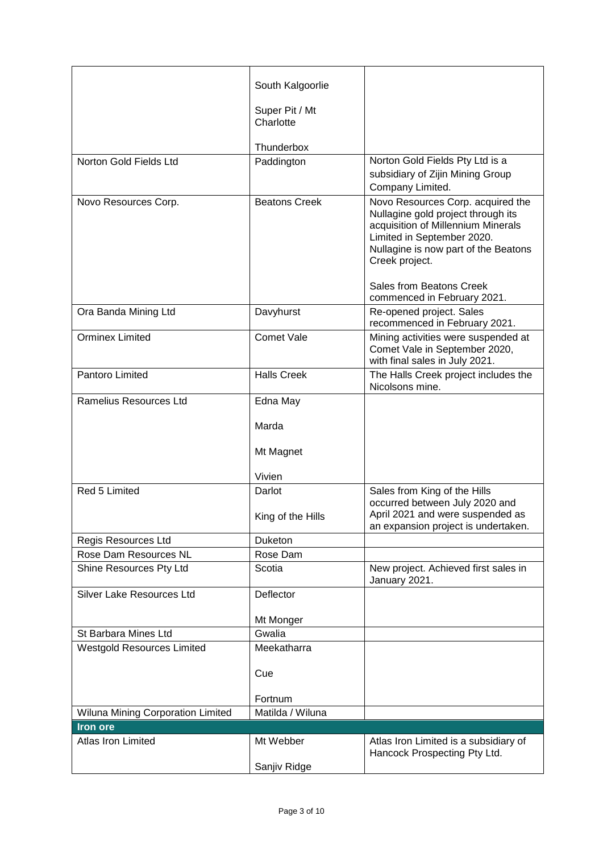|                                   | South Kalgoorlie     |                                                                                                                                                                  |
|-----------------------------------|----------------------|------------------------------------------------------------------------------------------------------------------------------------------------------------------|
|                                   | Super Pit / Mt       |                                                                                                                                                                  |
|                                   | Charlotte            |                                                                                                                                                                  |
|                                   |                      |                                                                                                                                                                  |
|                                   | Thunderbox           |                                                                                                                                                                  |
| Norton Gold Fields Ltd            | Paddington           | Norton Gold Fields Pty Ltd is a                                                                                                                                  |
|                                   |                      | subsidiary of Zijin Mining Group<br>Company Limited.                                                                                                             |
| Novo Resources Corp.              | <b>Beatons Creek</b> | Novo Resources Corp. acquired the                                                                                                                                |
|                                   |                      | Nullagine gold project through its<br>acquisition of Millennium Minerals<br>Limited in September 2020.<br>Nullagine is now part of the Beatons<br>Creek project. |
|                                   |                      | Sales from Beatons Creek<br>commenced in February 2021.                                                                                                          |
| Ora Banda Mining Ltd              | Davyhurst            | Re-opened project. Sales<br>recommenced in February 2021.                                                                                                        |
| <b>Orminex Limited</b>            | <b>Comet Vale</b>    | Mining activities were suspended at<br>Comet Vale in September 2020,<br>with final sales in July 2021.                                                           |
| Pantoro Limited                   | <b>Halls Creek</b>   | The Halls Creek project includes the<br>Nicolsons mine.                                                                                                          |
| Ramelius Resources Ltd            | Edna May             |                                                                                                                                                                  |
|                                   | Marda                |                                                                                                                                                                  |
|                                   | Mt Magnet            |                                                                                                                                                                  |
|                                   | Vivien               |                                                                                                                                                                  |
| Red 5 Limited                     | Darlot               | Sales from King of the Hills                                                                                                                                     |
|                                   | King of the Hills    | occurred between July 2020 and<br>April 2021 and were suspended as<br>an expansion project is undertaken.                                                        |
| Regis Resources Ltd               | Duketon              |                                                                                                                                                                  |
| Rose Dam Resources NL             | Rose Dam             |                                                                                                                                                                  |
| Shine Resources Pty Ltd           | Scotia               | New project. Achieved first sales in<br>January 2021.                                                                                                            |
| Silver Lake Resources Ltd         | Deflector            |                                                                                                                                                                  |
|                                   | Mt Monger            |                                                                                                                                                                  |
| St Barbara Mines Ltd              | Gwalia               |                                                                                                                                                                  |
| <b>Westgold Resources Limited</b> | Meekatharra          |                                                                                                                                                                  |
|                                   | Cue                  |                                                                                                                                                                  |
|                                   | Fortnum              |                                                                                                                                                                  |
| Wiluna Mining Corporation Limited | Matilda / Wiluna     |                                                                                                                                                                  |
| Iron ore                          |                      |                                                                                                                                                                  |
| Atlas Iron Limited                | Mt Webber            | Atlas Iron Limited is a subsidiary of<br>Hancock Prospecting Pty Ltd.                                                                                            |
|                                   | Sanjiv Ridge         |                                                                                                                                                                  |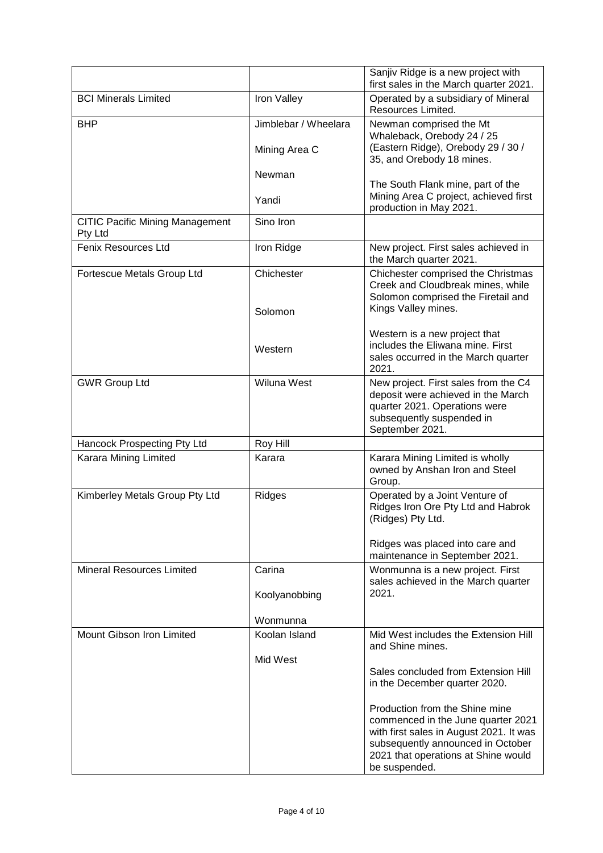|                                                   |                      | Sanjiv Ridge is a new project with<br>first sales in the March quarter 2021.                                  |  |  |
|---------------------------------------------------|----------------------|---------------------------------------------------------------------------------------------------------------|--|--|
| <b>BCI Minerals Limited</b>                       | Iron Valley          | Operated by a subsidiary of Mineral<br>Resources Limited.                                                     |  |  |
| <b>BHP</b>                                        | Jimblebar / Wheelara | Newman comprised the Mt                                                                                       |  |  |
|                                                   | Mining Area C        | Whaleback, Orebody 24 / 25<br>(Eastern Ridge), Orebody 29 / 30 /<br>35, and Orebody 18 mines.                 |  |  |
|                                                   | Newman               | The South Flank mine, part of the                                                                             |  |  |
|                                                   | Yandi                | Mining Area C project, achieved first<br>production in May 2021.                                              |  |  |
| <b>CITIC Pacific Mining Management</b><br>Pty Ltd | Sino Iron            |                                                                                                               |  |  |
| <b>Fenix Resources Ltd</b>                        | Iron Ridge           | New project. First sales achieved in<br>the March quarter 2021.                                               |  |  |
| Fortescue Metals Group Ltd                        | Chichester           | Chichester comprised the Christmas<br>Creek and Cloudbreak mines, while<br>Solomon comprised the Firetail and |  |  |
|                                                   | Solomon              | Kings Valley mines.                                                                                           |  |  |
|                                                   |                      | Western is a new project that<br>includes the Eliwana mine. First                                             |  |  |
|                                                   | Western              | sales occurred in the March quarter<br>2021.                                                                  |  |  |
| <b>GWR Group Ltd</b>                              | Wiluna West          | New project. First sales from the C4<br>deposit were achieved in the March                                    |  |  |
|                                                   |                      | quarter 2021. Operations were<br>subsequently suspended in                                                    |  |  |
|                                                   |                      | September 2021.                                                                                               |  |  |
| Hancock Prospecting Pty Ltd                       | Roy Hill             |                                                                                                               |  |  |
| Karara Mining Limited                             | Karara               | Karara Mining Limited is wholly<br>owned by Anshan Iron and Steel<br>Group.                                   |  |  |
| Kimberley Metals Group Pty Ltd                    | Ridges               | Operated by a Joint Venture of<br>Ridges Iron Ore Pty Ltd and Habrok<br>(Ridges) Pty Ltd.                     |  |  |
|                                                   |                      | Ridges was placed into care and<br>maintenance in September 2021.                                             |  |  |
| <b>Mineral Resources Limited</b>                  | Carina               | Wonmunna is a new project. First<br>sales achieved in the March quarter                                       |  |  |
|                                                   | Koolyanobbing        | 2021.                                                                                                         |  |  |
|                                                   | Wonmunna             |                                                                                                               |  |  |
| Mount Gibson Iron Limited                         | Koolan Island        | Mid West includes the Extension Hill<br>and Shine mines.                                                      |  |  |
|                                                   | Mid West             | Sales concluded from Extension Hill                                                                           |  |  |
|                                                   |                      | in the December quarter 2020.                                                                                 |  |  |
|                                                   |                      | Production from the Shine mine<br>commenced in the June quarter 2021                                          |  |  |
|                                                   |                      | with first sales in August 2021. It was<br>subsequently announced in October                                  |  |  |
|                                                   |                      | 2021 that operations at Shine would<br>be suspended.                                                          |  |  |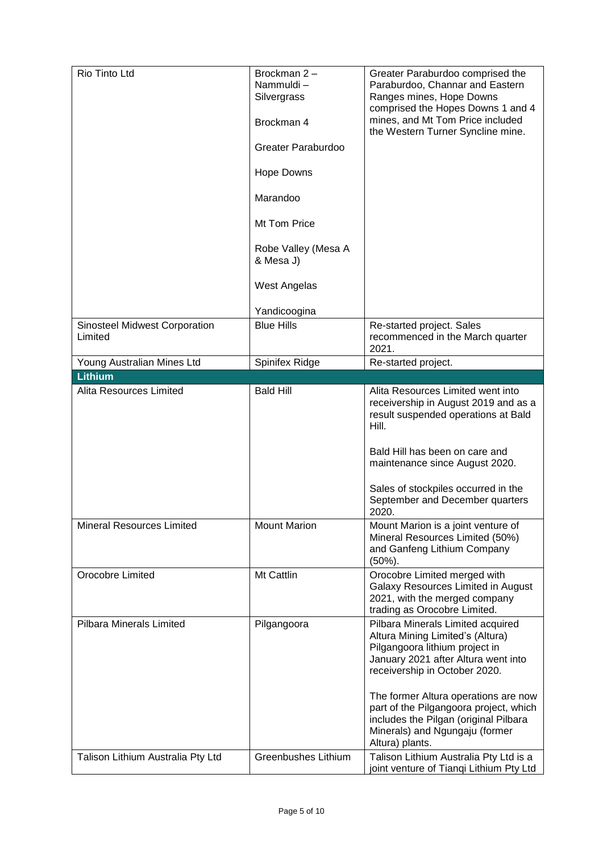| Rio Tinto Ltd                     | Brockman 2-<br>Nammuldi-<br>Silvergrass<br>Brockman 4<br>Greater Paraburdoo<br><b>Hope Downs</b><br>Marandoo<br>Mt Tom Price<br>Robe Valley (Mesa A<br>& Mesa J)<br><b>West Angelas</b><br>Yandicoogina | Greater Paraburdoo comprised the<br>Paraburdoo, Channar and Eastern<br>Ranges mines, Hope Downs<br>comprised the Hopes Downs 1 and 4<br>mines, and Mt Tom Price included<br>the Western Turner Syncline mine.                                                                                                                                                   |
|-----------------------------------|---------------------------------------------------------------------------------------------------------------------------------------------------------------------------------------------------------|-----------------------------------------------------------------------------------------------------------------------------------------------------------------------------------------------------------------------------------------------------------------------------------------------------------------------------------------------------------------|
| Sinosteel Midwest Corporation     | <b>Blue Hills</b>                                                                                                                                                                                       | Re-started project. Sales                                                                                                                                                                                                                                                                                                                                       |
| Limited                           |                                                                                                                                                                                                         | recommenced in the March quarter<br>2021.                                                                                                                                                                                                                                                                                                                       |
| Young Australian Mines Ltd        | Spinifex Ridge                                                                                                                                                                                          | Re-started project.                                                                                                                                                                                                                                                                                                                                             |
| <b>Lithium</b>                    |                                                                                                                                                                                                         |                                                                                                                                                                                                                                                                                                                                                                 |
| Alita Resources Limited           | <b>Bald Hill</b>                                                                                                                                                                                        | Alita Resources Limited went into<br>receivership in August 2019 and as a<br>result suspended operations at Bald<br>Hill.<br>Bald Hill has been on care and<br>maintenance since August 2020.<br>Sales of stockpiles occurred in the<br>September and December quarters<br>2020.                                                                                |
| <b>Mineral Resources Limited</b>  | <b>Mount Marion</b>                                                                                                                                                                                     | Mount Marion is a joint venture of<br>Mineral Resources Limited (50%)<br>and Ganfeng Lithium Company<br>$(50\%)$ .                                                                                                                                                                                                                                              |
| Orocobre Limited                  | Mt Cattlin                                                                                                                                                                                              | Orocobre Limited merged with<br>Galaxy Resources Limited in August<br>2021, with the merged company<br>trading as Orocobre Limited.                                                                                                                                                                                                                             |
| <b>Pilbara Minerals Limited</b>   | Pilgangoora                                                                                                                                                                                             | Pilbara Minerals Limited acquired<br>Altura Mining Limited's (Altura)<br>Pilgangoora lithium project in<br>January 2021 after Altura went into<br>receivership in October 2020.<br>The former Altura operations are now<br>part of the Pilgangoora project, which<br>includes the Pilgan (original Pilbara<br>Minerals) and Ngungaju (former<br>Altura) plants. |
| Talison Lithium Australia Pty Ltd | Greenbushes Lithium                                                                                                                                                                                     | Talison Lithium Australia Pty Ltd is a<br>joint venture of Tianqi Lithium Pty Ltd                                                                                                                                                                                                                                                                               |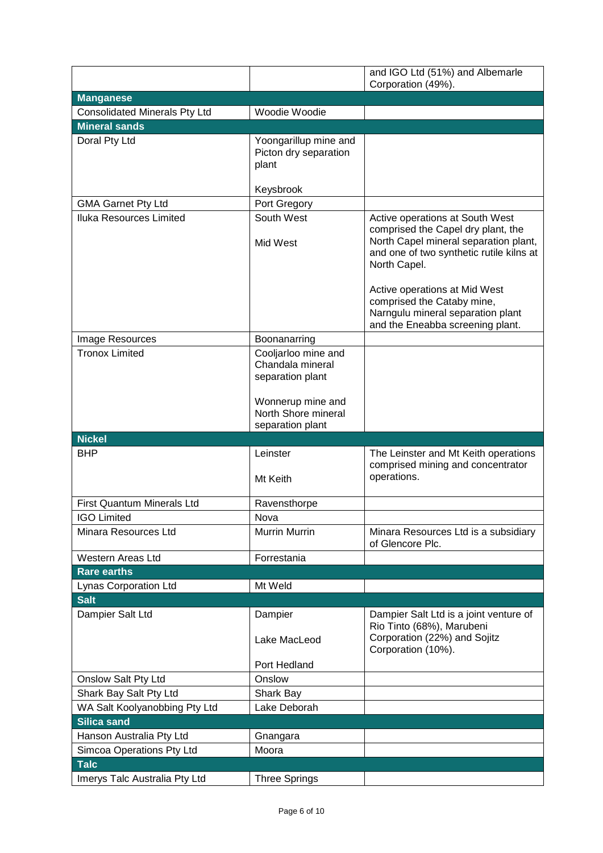|                                              |                                                              | and IGO Ltd (51%) and Albemarle                                                                                                                                            |
|----------------------------------------------|--------------------------------------------------------------|----------------------------------------------------------------------------------------------------------------------------------------------------------------------------|
|                                              |                                                              | Corporation (49%).                                                                                                                                                         |
| <b>Manganese</b>                             |                                                              |                                                                                                                                                                            |
| <b>Consolidated Minerals Pty Ltd</b>         | Woodie Woodie                                                |                                                                                                                                                                            |
| <b>Mineral sands</b>                         |                                                              |                                                                                                                                                                            |
| Doral Pty Ltd                                | Yoongarillup mine and<br>Picton dry separation<br>plant      |                                                                                                                                                                            |
|                                              | Keysbrook                                                    |                                                                                                                                                                            |
| <b>GMA Garnet Pty Ltd</b>                    | Port Gregory                                                 |                                                                                                                                                                            |
| Iluka Resources Limited                      | South West<br>Mid West                                       | Active operations at South West<br>comprised the Capel dry plant, the<br>North Capel mineral separation plant,<br>and one of two synthetic rutile kilns at<br>North Capel. |
|                                              |                                                              | Active operations at Mid West<br>comprised the Cataby mine,<br>Narngulu mineral separation plant<br>and the Eneabba screening plant.                                       |
| Image Resources                              | Boonanarring                                                 |                                                                                                                                                                            |
| <b>Tronox Limited</b>                        | Cooljarloo mine and<br>Chandala mineral<br>separation plant  |                                                                                                                                                                            |
|                                              | Wonnerup mine and<br>North Shore mineral<br>separation plant |                                                                                                                                                                            |
| <b>Nickel</b>                                |                                                              |                                                                                                                                                                            |
|                                              |                                                              |                                                                                                                                                                            |
| <b>BHP</b>                                   | Leinster<br>Mt Keith                                         | The Leinster and Mt Keith operations<br>comprised mining and concentrator<br>operations.                                                                                   |
| <b>First Quantum Minerals Ltd</b>            |                                                              |                                                                                                                                                                            |
| <b>IGO Limited</b>                           | Ravensthorpe<br>Nova                                         |                                                                                                                                                                            |
| Minara Resources Ltd                         | Murrin Murrin                                                | Minara Resources Ltd is a subsidiary<br>of Glencore Plc.                                                                                                                   |
| <b>Western Areas Ltd</b>                     | Forrestania                                                  |                                                                                                                                                                            |
| <b>Rare earths</b>                           |                                                              |                                                                                                                                                                            |
| Lynas Corporation Ltd                        | Mt Weld                                                      |                                                                                                                                                                            |
| <b>Salt</b>                                  |                                                              |                                                                                                                                                                            |
| Dampier Salt Ltd                             | Dampier<br>Lake MacLeod                                      | Dampier Salt Ltd is a joint venture of<br>Rio Tinto (68%), Marubeni<br>Corporation (22%) and Sojitz                                                                        |
|                                              | Port Hedland                                                 | Corporation (10%).                                                                                                                                                         |
| Onslow Salt Pty Ltd                          | Onslow                                                       |                                                                                                                                                                            |
| Shark Bay Salt Pty Ltd                       | Shark Bay                                                    |                                                                                                                                                                            |
| WA Salt Koolyanobbing Pty Ltd                | Lake Deborah                                                 |                                                                                                                                                                            |
| Silica sand                                  |                                                              |                                                                                                                                                                            |
| Hanson Australia Pty Ltd                     | Gnangara                                                     |                                                                                                                                                                            |
| Simcoa Operations Pty Ltd                    | Moora                                                        |                                                                                                                                                                            |
| <b>Talc</b><br>Imerys Talc Australia Pty Ltd | <b>Three Springs</b>                                         |                                                                                                                                                                            |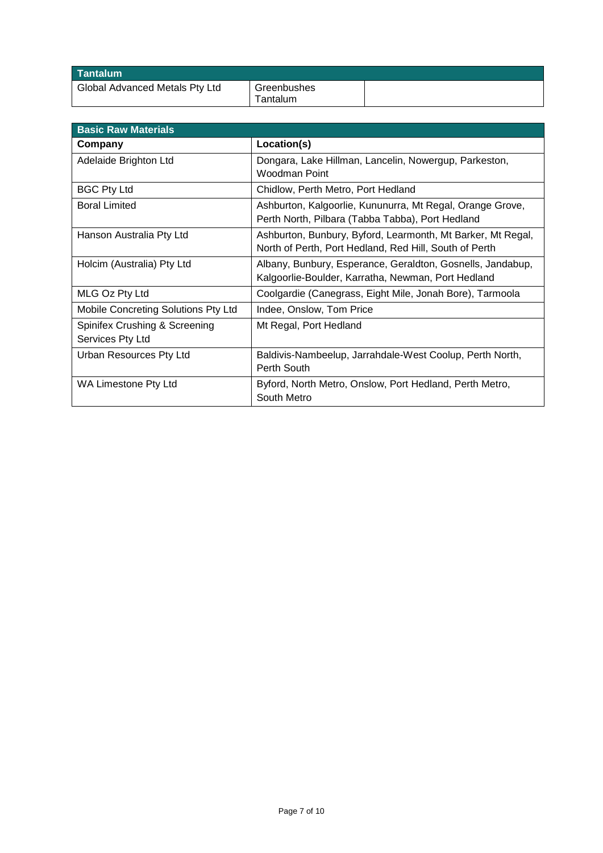| Tantalum                       |                         |  |
|--------------------------------|-------------------------|--|
| Global Advanced Metals Pty Ltd | Greenbushes<br>Tantalum |  |

| <b>Basic Raw Materials</b>                        |                                                                                                                       |
|---------------------------------------------------|-----------------------------------------------------------------------------------------------------------------------|
| Company                                           | Location(s)                                                                                                           |
| Adelaide Brighton Ltd                             | Dongara, Lake Hillman, Lancelin, Nowergup, Parkeston,<br>Woodman Point                                                |
| <b>BGC Pty Ltd</b>                                | Chidlow, Perth Metro, Port Hedland                                                                                    |
| <b>Boral Limited</b>                              | Ashburton, Kalgoorlie, Kununurra, Mt Regal, Orange Grove,<br>Perth North, Pilbara (Tabba Tabba), Port Hedland         |
| Hanson Australia Pty Ltd                          | Ashburton, Bunbury, Byford, Learmonth, Mt Barker, Mt Regal,<br>North of Perth, Port Hedland, Red Hill, South of Perth |
| Holcim (Australia) Pty Ltd                        | Albany, Bunbury, Esperance, Geraldton, Gosnells, Jandabup,<br>Kalgoorlie-Boulder, Karratha, Newman, Port Hedland      |
| MLG Oz Pty Ltd                                    | Coolgardie (Canegrass, Eight Mile, Jonah Bore), Tarmoola                                                              |
| Mobile Concreting Solutions Pty Ltd               | Indee, Onslow, Tom Price                                                                                              |
| Spinifex Crushing & Screening<br>Services Pty Ltd | Mt Regal, Port Hedland                                                                                                |
| Urban Resources Pty Ltd                           | Baldivis-Nambeelup, Jarrahdale-West Coolup, Perth North,<br>Perth South                                               |
| WA Limestone Pty Ltd                              | Byford, North Metro, Onslow, Port Hedland, Perth Metro,<br>South Metro                                                |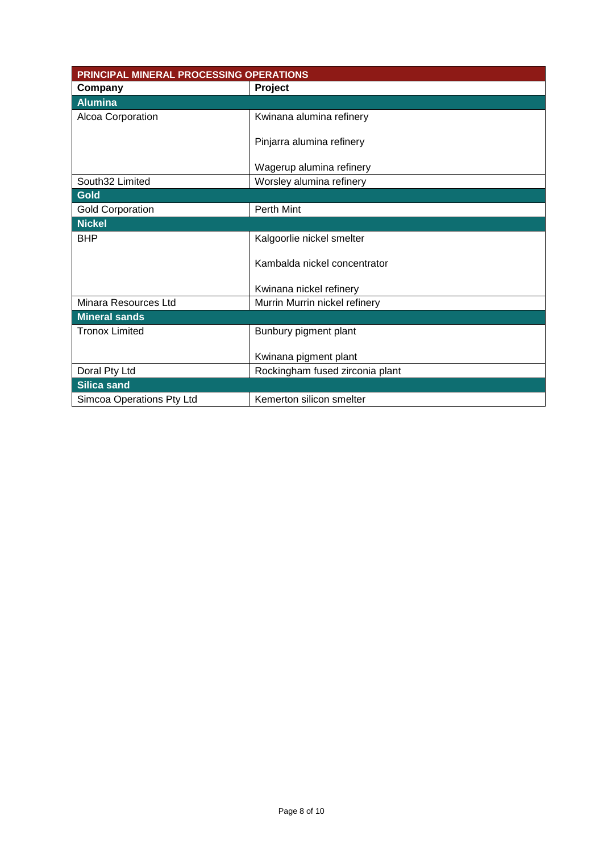| PRINCIPAL MINERAL PROCESSING OPERATIONS |                                 |  |  |
|-----------------------------------------|---------------------------------|--|--|
| Company                                 | Project                         |  |  |
| <b>Alumina</b>                          |                                 |  |  |
| Alcoa Corporation                       | Kwinana alumina refinery        |  |  |
|                                         |                                 |  |  |
|                                         | Pinjarra alumina refinery       |  |  |
|                                         |                                 |  |  |
|                                         | Wagerup alumina refinery        |  |  |
| South32 Limited                         | Worsley alumina refinery        |  |  |
| <b>Gold</b>                             |                                 |  |  |
| <b>Gold Corporation</b>                 | <b>Perth Mint</b>               |  |  |
| <b>Nickel</b>                           |                                 |  |  |
| <b>BHP</b>                              | Kalgoorlie nickel smelter       |  |  |
|                                         |                                 |  |  |
|                                         | Kambalda nickel concentrator    |  |  |
|                                         |                                 |  |  |
|                                         | Kwinana nickel refinery         |  |  |
| Minara Resources Ltd                    | Murrin Murrin nickel refinery   |  |  |
| <b>Mineral sands</b>                    |                                 |  |  |
| <b>Tronox Limited</b>                   | Bunbury pigment plant           |  |  |
|                                         |                                 |  |  |
|                                         | Kwinana pigment plant           |  |  |
| Doral Pty Ltd                           | Rockingham fused zirconia plant |  |  |
| <b>Silica sand</b>                      |                                 |  |  |
| Simcoa Operations Pty Ltd               | Kemerton silicon smelter        |  |  |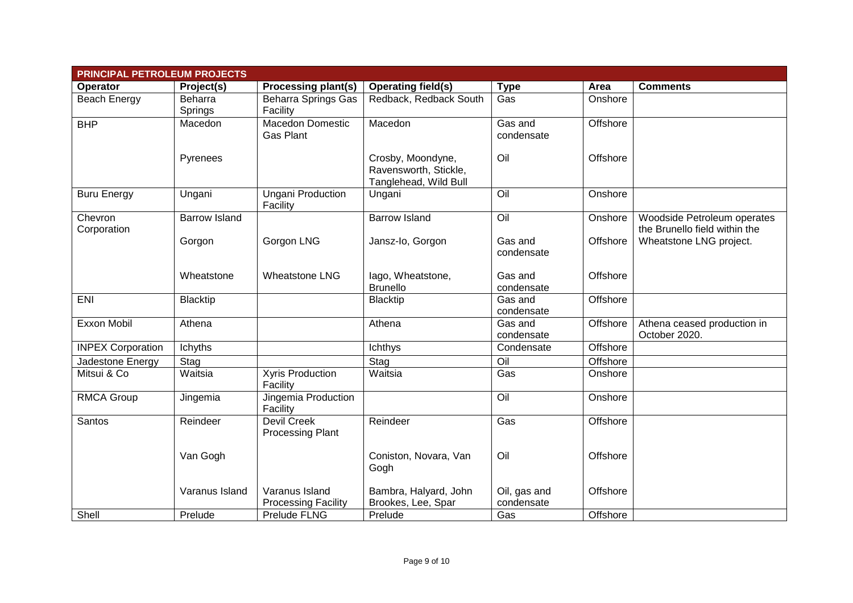| <b>PRINCIPAL PETROLEUM PROJECTS</b> |                      |                                               |                                                                     |                            |          |                                                              |
|-------------------------------------|----------------------|-----------------------------------------------|---------------------------------------------------------------------|----------------------------|----------|--------------------------------------------------------------|
| Operator                            | Project(s)           | <b>Processing plant(s)</b>                    | <b>Operating field(s)</b>                                           | <b>Type</b>                | Area     | <b>Comments</b>                                              |
| Beach Energy                        | Beharra<br>Springs   | <b>Beharra Springs Gas</b><br>Facility        | Redback, Redback South                                              | Gas                        | Onshore  |                                                              |
| <b>BHP</b>                          | Macedon              | <b>Macedon Domestic</b><br>Gas Plant          | Macedon                                                             | Gas and<br>condensate      | Offshore |                                                              |
|                                     | Pyrenees             |                                               | Crosby, Moondyne,<br>Ravensworth, Stickle,<br>Tanglehead, Wild Bull | Oil                        | Offshore |                                                              |
| <b>Buru Energy</b>                  | Ungani               | <b>Ungani Production</b><br>Facility          | Ungani                                                              | $\overline{O}$ il          | Onshore  |                                                              |
| Chevron<br>Corporation              | <b>Barrow Island</b> |                                               | <b>Barrow Island</b>                                                | $\overline{O}$ il          | Onshore  | Woodside Petroleum operates<br>the Brunello field within the |
|                                     | Gorgon               | Gorgon LNG                                    | Jansz-Io, Gorgon                                                    | Gas and<br>condensate      | Offshore | Wheatstone LNG project.                                      |
|                                     | Wheatstone           | <b>Wheatstone LNG</b>                         | lago, Wheatstone,<br><b>Brunello</b>                                | Gas and<br>condensate      | Offshore |                                                              |
| ENI                                 | <b>Blacktip</b>      |                                               | <b>Blacktip</b>                                                     | Gas and<br>condensate      | Offshore |                                                              |
| Exxon Mobil                         | Athena               |                                               | Athena                                                              | Gas and<br>condensate      | Offshore | Athena ceased production in<br>October 2020.                 |
| <b>INPEX Corporation</b>            | Ichyths              |                                               | Ichthys                                                             | Condensate                 | Offshore |                                                              |
| Jadestone Energy                    | Stag                 |                                               | Stag                                                                | $\overline{O}$ il          | Offshore |                                                              |
| Mitsui & Co                         | Waitsia              | <b>Xyris Production</b><br>Facility           | Waitsia                                                             | Gas                        | Onshore  |                                                              |
| <b>RMCA Group</b>                   | Jingemia             | Jingemia Production<br>Facility               |                                                                     | Oil                        | Onshore  |                                                              |
| Santos                              | Reindeer             | <b>Devil Creek</b><br><b>Processing Plant</b> | Reindeer                                                            | Gas                        | Offshore |                                                              |
|                                     | Van Gogh             |                                               | Coniston, Novara, Van<br>Gogh                                       | Oil                        | Offshore |                                                              |
|                                     | Varanus Island       | Varanus Island<br><b>Processing Facility</b>  | Bambra, Halyard, John<br>Brookes, Lee, Spar                         | Oil, gas and<br>condensate | Offshore |                                                              |
| Shell                               | Prelude              | Prelude FLNG                                  | Prelude                                                             | Gas                        | Offshore |                                                              |